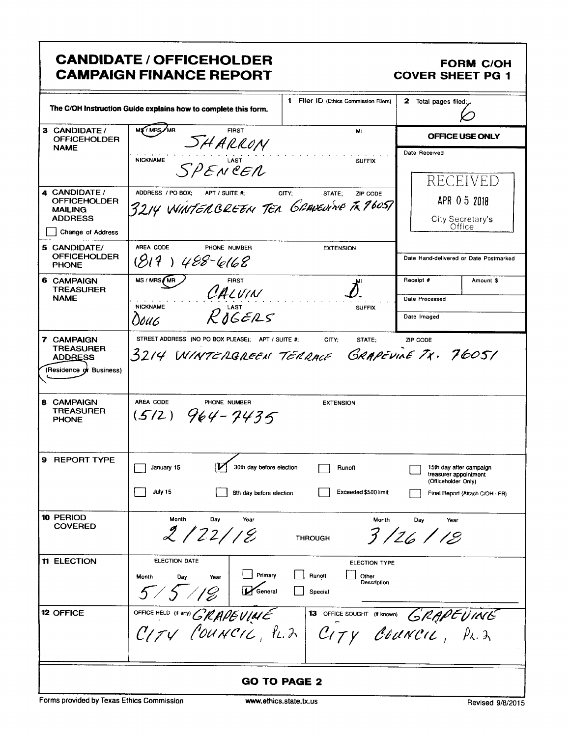# **CANDIDATE / OFFICEHOLDER CAMPAIGN FINANCE REPORT**

#### **FORM C/OH COVER SHEET PG 1**

|                                                                                                      | The C/OH Instruction Guide explains how to complete this form.                                    | 1 Filer ID (Ethics Commission Filers)                      | 2 Total pages filed:                                                                                       |
|------------------------------------------------------------------------------------------------------|---------------------------------------------------------------------------------------------------|------------------------------------------------------------|------------------------------------------------------------------------------------------------------------|
| 3 CANDIDATE/<br><b>OFFICEHOLDER</b>                                                                  | MS / MRS / MR<br><b>FIRST</b><br>SHARRON                                                          | MI                                                         | OFFICE USE ONLY                                                                                            |
| <b>NAME</b>                                                                                          | <b>NICKNAME</b><br>SPENCER                                                                        | <b>SUFFIX</b>                                              | Date Received                                                                                              |
| 4 CANDIDATE /<br><b>OFFICEHOLDER</b><br><b>MAILING</b><br><b>ADDRESS</b><br><b>Change of Address</b> | ADDRESS / PO BOX:<br>APT / SUITE #:<br>3214 WINTEN BREEN TEN GRAVENWE TK 1605T                    | CITY;<br>STATE;<br>ZIP CODE                                | RECEIVED<br>APR 0 5 2018<br>City Secretary's<br>Office                                                     |
| 5 CANDIDATE/<br><b>OFFICEHOLDER</b><br><b>PHONE</b>                                                  | AREA CODE<br>PHONE NUMBER<br>$(819)$ 488-6168                                                     | <b>EXTENSION</b>                                           | Date Hand-delivered or Date Postmarked                                                                     |
| <b>6 CAMPAIGN</b><br><b>TREASURER</b>                                                                | MS / MRS / MR<br><b>FIRST</b><br>CALVIN                                                           |                                                            | Receipt #<br>Amount \$                                                                                     |
| <b>NAME</b>                                                                                          | <b>NICKNAME</b><br>$R$ <sub>d</sub> $GERS$                                                        | <b>SUFFIX</b>                                              | Date Processed                                                                                             |
|                                                                                                      | 0ouc                                                                                              |                                                            | Date Imaged                                                                                                |
| 7 CAMPAIGN<br><b>TREASURER</b><br><b>ADDRESS</b><br>(Residence of Business)                          | STREET ADDRESS (NO PO BOX PLEASE); APT / SUITE #;<br>3214 WINTERGREEN TERRACE                     | CITY:<br>STATE;                                            | ZIP CODE<br>GRAPEVINE TX. 76051                                                                            |
| 8 CAMPAIGN<br><b>TREASURER</b><br><b>PHONE</b>                                                       | AREA CODE<br>PHONE NUMBER<br>$(5/2)$ 964-7435                                                     | <b>EXTENSION</b>                                           |                                                                                                            |
| 9 REPORT TYPE                                                                                        | January 15<br>30th day before election<br>July 15<br>8th day before election                      | Runoff<br>Exceeded \$500 limit                             | 15th day after campaign<br>treasurer appointment<br>(Officeholder Only)<br>Final Report (Attach C/OH - FR) |
| 10 PERIOD<br><b>COVERED</b>                                                                          | Month<br>Day<br>Year<br>2/22/18                                                                   | Month<br><b>THROUGH</b>                                    | Day<br>Year<br>3/26/18                                                                                     |
| <b>11 ELECTION</b>                                                                                   | <b>ELECTION DATE</b><br>Primary<br>Dav<br>Month<br>Year<br>$5/5$ / $/$ $\beta$   $\Gamma$ General | ELECTION TYPE<br>Runoff<br>Other<br>Description<br>Special |                                                                                                            |
| 12 OFFICE                                                                                            | OFFICE HELD (it any) GRAPEVIALE 13 OFFICE SOUGHT (it known) GRAPEVIALE                            |                                                            |                                                                                                            |
|                                                                                                      |                                                                                                   | <b>GO TO PAGE 2</b>                                        |                                                                                                            |

Forms provided by Texas Ethics Commission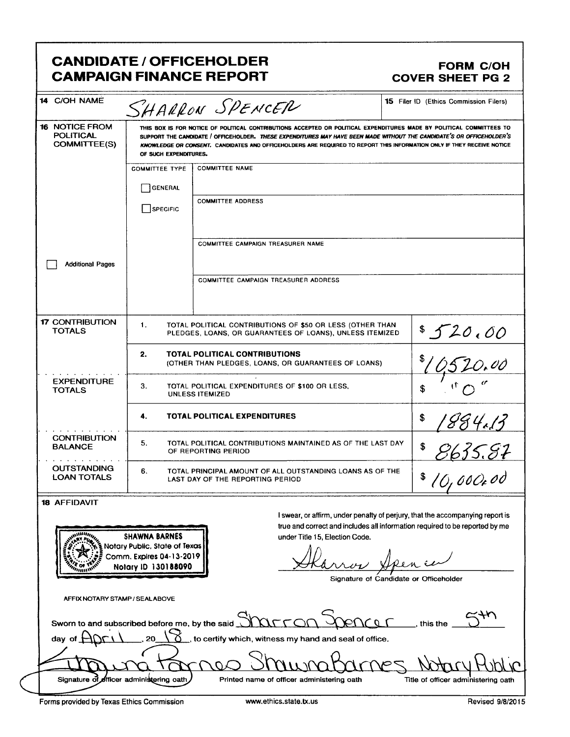## **CANDIDATE / OFFICEHOLDER CAMPAIGN FINANCE REPORT**

#### **FORM C/OH COVER SHEET PG 2**

| 14 C/OH NAME                                                                        |                                                                                                                                                                                                                                                                                                                                                                                                  | SHARRON SPENCER                                                                                                       | <b>15</b> Filer ID (Ethics Commission Filers)                                 |  |
|-------------------------------------------------------------------------------------|--------------------------------------------------------------------------------------------------------------------------------------------------------------------------------------------------------------------------------------------------------------------------------------------------------------------------------------------------------------------------------------------------|-----------------------------------------------------------------------------------------------------------------------|-------------------------------------------------------------------------------|--|
| <b>16 NOTICE FROM</b><br><b>POLITICAL</b><br>COMMITTEE(S)                           | THIS BOX IS FOR NOTICE OF POLITICAL CONTRIBUTIONS ACCEPTED OR POLITICAL EXPENDITURES MADE BY POLITICAL COMMITTEES TO<br>SUPPORT THE CANDIDATE / OFFICEHOLDER. THESE EXPENDITURES MAY HAVE BEEN MADE WITHOUT THE CANDIDATE'S OR OFFICEHOLDER'S<br>KNOWLEDGE OR CONSENT. CANDIDATES AND OFFICEHOLDERS ARE REQUIRED TO REPORT THIS INFORMATION ONLY IF THEY RECEIVE NOTICE<br>OF SUCH EXPENDITURES. |                                                                                                                       |                                                                               |  |
|                                                                                     | <b>COMMITTEE TYPE</b>                                                                                                                                                                                                                                                                                                                                                                            | <b>COMMITTEE NAME</b>                                                                                                 |                                                                               |  |
|                                                                                     | GENERAL                                                                                                                                                                                                                                                                                                                                                                                          |                                                                                                                       |                                                                               |  |
|                                                                                     | SPECIFIC                                                                                                                                                                                                                                                                                                                                                                                         | <b>COMMITTEE ADDRESS</b>                                                                                              |                                                                               |  |
|                                                                                     |                                                                                                                                                                                                                                                                                                                                                                                                  |                                                                                                                       |                                                                               |  |
|                                                                                     |                                                                                                                                                                                                                                                                                                                                                                                                  | COMMITTEE CAMPAIGN TREASURER NAME                                                                                     |                                                                               |  |
| <b>Additional Pages</b>                                                             |                                                                                                                                                                                                                                                                                                                                                                                                  |                                                                                                                       |                                                                               |  |
|                                                                                     |                                                                                                                                                                                                                                                                                                                                                                                                  | <b>COMMITTEE CAMPAIGN TREASURER ADDRESS</b>                                                                           |                                                                               |  |
| <b>17 CONTRIBUTION</b><br><b>TOTALS</b>                                             | 1.                                                                                                                                                                                                                                                                                                                                                                                               | TOTAL POLITICAL CONTRIBUTIONS OF \$50 OR LESS (OTHER THAN<br>PLEDGES, LOANS, OR GUARANTEES OF LOANS), UNLESS ITEMIZED | 8520.00                                                                       |  |
|                                                                                     | <b>TOTAL POLITICAL CONTRIBUTIONS</b><br>2.<br>(OTHER THAN PLEDGES, LOANS, OR GUARANTEES OF LOANS)                                                                                                                                                                                                                                                                                                |                                                                                                                       | 20.00                                                                         |  |
| <b>EXPENDITURE</b><br><b>TOTALS</b>                                                 | З.<br>TOTAL POLITICAL EXPENDITURES OF \$100 OR LESS.<br>UNLESS ITEMIZED                                                                                                                                                                                                                                                                                                                          |                                                                                                                       | \$                                                                            |  |
|                                                                                     | <b>TOTAL POLITICAL EXPENDITURES</b><br>4.                                                                                                                                                                                                                                                                                                                                                        |                                                                                                                       | \$<br>884.13                                                                  |  |
| <b>CONTRIBUTION</b><br><b>BALANCE</b>                                               | 5.                                                                                                                                                                                                                                                                                                                                                                                               | TOTAL POLITICAL CONTRIBUTIONS MAINTAINED AS OF THE LAST DAY<br>\$<br>OF REPORTING RERIOD                              |                                                                               |  |
| <b>OUTSTANDING</b><br><b>LOAN TOTALS</b>                                            | 6.<br>TOTAL PRINCIPAL AMOUNT OF ALL OUTSTANDING LOANS AS OF THE<br>\$<br>LAST DAY OF THE REPORTING PERIOD                                                                                                                                                                                                                                                                                        |                                                                                                                       | <u>E635.87</u><br>10,000x0d                                                   |  |
| <b>18 AFFIDAVIT</b>                                                                 |                                                                                                                                                                                                                                                                                                                                                                                                  |                                                                                                                       |                                                                               |  |
|                                                                                     |                                                                                                                                                                                                                                                                                                                                                                                                  |                                                                                                                       | I swear, or affirm, under penalty of perjury, that the accompanying report is |  |
|                                                                                     | <b>SHAWNA BARNES</b>                                                                                                                                                                                                                                                                                                                                                                             | under Title 15, Election Code.                                                                                        | true and correct and includes all information required to be reported by me   |  |
| Notary Public, State of Texas                                                       |                                                                                                                                                                                                                                                                                                                                                                                                  |                                                                                                                       |                                                                               |  |
| Comm. Expires 04-13-2019<br>Notary ID 130188090                                     |                                                                                                                                                                                                                                                                                                                                                                                                  |                                                                                                                       |                                                                               |  |
| Signature of Candidate or Officeholder                                              |                                                                                                                                                                                                                                                                                                                                                                                                  |                                                                                                                       |                                                                               |  |
|                                                                                     |                                                                                                                                                                                                                                                                                                                                                                                                  |                                                                                                                       |                                                                               |  |
| AFFIX NOTARY STAMP / SEALABOVE                                                      |                                                                                                                                                                                                                                                                                                                                                                                                  |                                                                                                                       |                                                                               |  |
| Sworn to and subscribed before me, by the said $\overline{\mathcal{N}}$<br>this the |                                                                                                                                                                                                                                                                                                                                                                                                  |                                                                                                                       |                                                                               |  |
| to certify which, witness my hand and seal of office.<br>day                        |                                                                                                                                                                                                                                                                                                                                                                                                  |                                                                                                                       |                                                                               |  |
|                                                                                     |                                                                                                                                                                                                                                                                                                                                                                                                  |                                                                                                                       |                                                                               |  |
| Signature of                                                                        | officer administering oath                                                                                                                                                                                                                                                                                                                                                                       | Printed name of officer administering oath                                                                            | Title of officer administering oath                                           |  |
| Forms provided by Texas Ethics Commission                                           |                                                                                                                                                                                                                                                                                                                                                                                                  | www.ethics.state.tx.us                                                                                                | Revised 9/8/2015                                                              |  |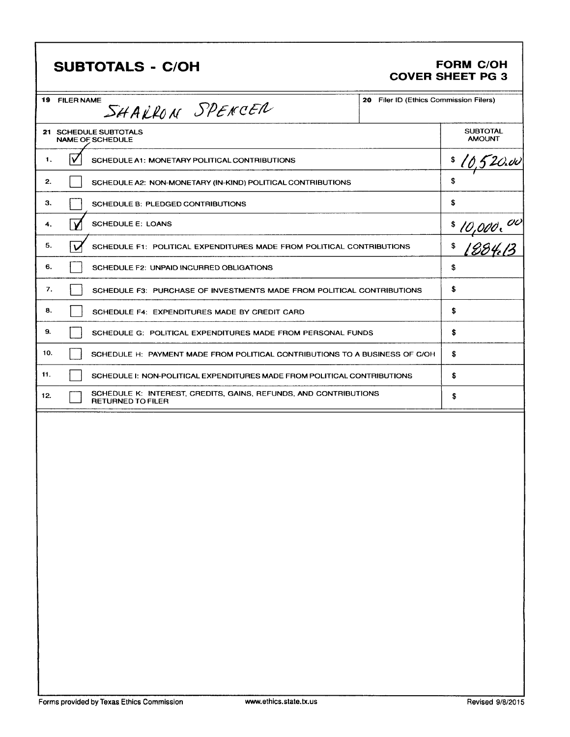| <b>SUBTOTALS - C/OH</b>                                                                             |                                        | <b>FORM C/OH</b><br><b>COVER SHEET PG 3</b>    |
|-----------------------------------------------------------------------------------------------------|----------------------------------------|------------------------------------------------|
| <b>19 FILER NAME</b><br>SHAKRON SPENCER                                                             | 20 Filer ID (Ethics Commission Filers) |                                                |
| 21 SCHEDULE SUBTOTALS<br><b>NAME OF SCHEDULE</b>                                                    |                                        | <b>SUBTOTAL</b><br><b>AMOUNT</b>               |
| v<br>1.<br>SCHEDULE A1: MONETARY POLITICAL CONTRIBUTIONS                                            |                                        | \$<br>[0,520.ov                                |
| 2.<br>SCHEDULE A2: NON-MONETARY (IN-KIND) POLITICAL CONTRIBUTIONS                                   |                                        | \$                                             |
| З.<br>SCHEDULE B: PLEDGED CONTRIBUTIONS                                                             |                                        | \$                                             |
| <b>SCHEDULE E: LOANS</b><br>4.<br>N                                                                 |                                        | \$                                             |
| 5.<br>$\mathbf v$<br>SCHEDULE F1: POLITICAL EXPENDITURES MADE FROM POLITICAL CONTRIBUTIONS          |                                        | <u>10,000, <sup>00</sup><br/>[284.13</u><br>\$ |
| 6.<br>SCHEDULE F2: UNPAID INCURRED OBLIGATIONS                                                      |                                        | \$                                             |
| 7.<br>SCHEDULE F3: PURCHASE OF INVESTMENTS MADE FROM POLITICAL CONTRIBUTIONS                        |                                        | \$                                             |
| 8.<br>SCHEDULE F4: EXPENDITURES MADE BY CREDIT CARD                                                 |                                        | \$                                             |
| 9.<br>SCHEDULE G: POLITICAL EXPENDITURES MADE FROM PERSONAL FUNDS                                   |                                        | \$                                             |
| 10.<br>SCHEDULE H: PAYMENT MADE FROM POLITICAL CONTRIBUTIONS TO A BUSINESS OF C/OH                  |                                        | \$                                             |
| 11.<br>SCHEDULE I: NON-POLITICAL EXPENDITURES MADE FROM POLITICAL CONTRIBUTIONS                     |                                        | \$                                             |
| SCHEDULE K: INTEREST, CREDITS, GAINS, REFUNDS, AND CONTRIBUTIONS<br>12.<br><b>RETURNED TO FILER</b> |                                        | \$                                             |
|                                                                                                     |                                        |                                                |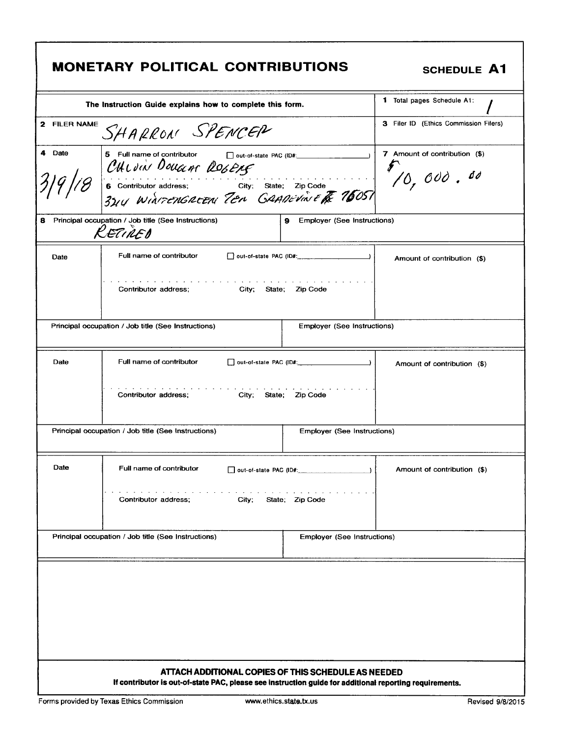|              | <b>MONETARY POLITICAL CONTRIBUTIONS</b>                                                                                                                                                                                                                                                                                                                | <b>SCHEDULE A1</b>                                           |
|--------------|--------------------------------------------------------------------------------------------------------------------------------------------------------------------------------------------------------------------------------------------------------------------------------------------------------------------------------------------------------|--------------------------------------------------------------|
|              | The Instruction Guide explains how to complete this form.                                                                                                                                                                                                                                                                                              | <b>1</b> Total pages Schedule A1:                            |
| 2 FILER NAME | SHARRON SPENCER                                                                                                                                                                                                                                                                                                                                        | 3 Filer ID (Ethics Commission Filers)                        |
| 4 Date       | 5 Full name of contributor<br>□ out-of-state PAC (ID#: ___________<br>CHLOIN DOUGLAS ROGERS<br>6 Contributor address; City; State; Zip Code<br>31/4 WINTENGREEN TEN GRANEVINE TE 76057                                                                                                                                                                 | 7 Amount of contribution (\$)<br>$\mathscr{F}_{10}$ , 000.00 |
|              | 8 Principal occupation / Job title (See Instructions)<br>9 Employer (See Instructions)<br>RETIRED                                                                                                                                                                                                                                                      |                                                              |
| Date         | Full name of contributor<br>the second control of the second<br>Contributor address; City; State; Zip Code                                                                                                                                                                                                                                             | Amount of contribution (\$)                                  |
|              | Principal occupation / Job title (See Instructions)<br><b>Employer (See Instructions)</b>                                                                                                                                                                                                                                                              |                                                              |
| Date         | Full name of contributor<br>out-of-state PAC (ID#:<br>Contributor address;<br>City, State; Zip Code                                                                                                                                                                                                                                                    | Amount of contribution (\$)                                  |
|              | Principal occupation / Job title (See Instructions)<br><b>Employer (See Instructions)</b>                                                                                                                                                                                                                                                              |                                                              |
| Date         | Full name of contributor<br>$\Box$ out-of-state PAC (ID#: $\Box$<br>and the contract of the contract of the contract of the contract of the contract of the contract of the contract of the contract of the contract of the contract of the contract of the contract of the contract of the contra<br>State; Zip Code<br>Contributor address:<br>City; | Amount of contribution (\$)                                  |
|              | Principal occupation / Job title (See Instructions)<br><b>Employer (See Instructions)</b>                                                                                                                                                                                                                                                              |                                                              |
|              | ATTACH ADDITIONAL COPIES OF THIS SCHEDULE AS NEEDED                                                                                                                                                                                                                                                                                                    |                                                              |

٦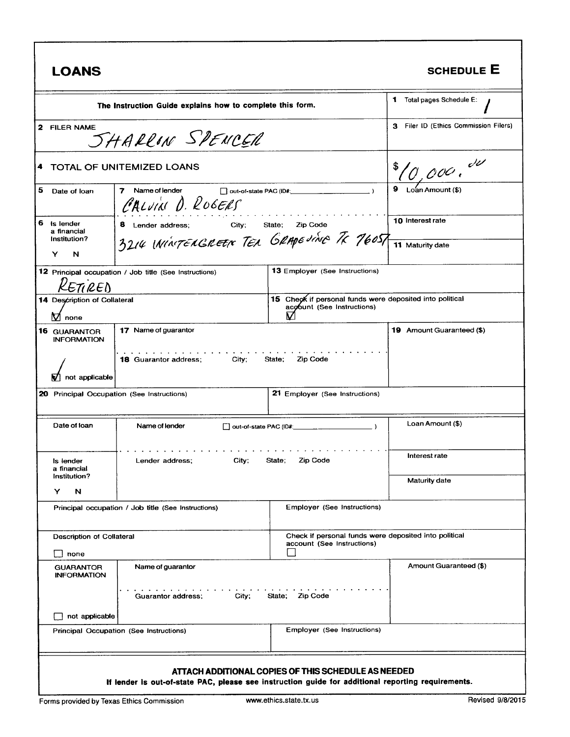| <b>LOANS</b>                                                                                              |                                                                                                    |                                                                                             | <b>SCHEDULE E</b>                           |
|-----------------------------------------------------------------------------------------------------------|----------------------------------------------------------------------------------------------------|---------------------------------------------------------------------------------------------|---------------------------------------------|
| The Instruction Guide explains how to complete this form.                                                 |                                                                                                    |                                                                                             | 1 Total pages Schedule E:                   |
| 2 FILER NAME                                                                                              | SHARRON SPENCER                                                                                    |                                                                                             | 3 Filer ID (Ethics Commission Filers)       |
| 4                                                                                                         | <b>TOTAL OF UNITEMIZED LOANS</b>                                                                   |                                                                                             | $\frac{10,0000}$                            |
| 5<br>Date of loan                                                                                         | 7<br>Name of lender<br>CALVIN D. ROGERS                                                            |                                                                                             |                                             |
| 6<br>Is lender<br>a financial<br>Institution?<br>Y<br>N                                                   | City;<br>8 Lender address;<br>3214 ININTENGREEN TER GRAPE JING TK 76057                            | Zip Code<br>State;                                                                          | <b>10 Interest rate</b><br>11 Maturity date |
| <b>13 Employer (See Instructions)</b><br>12 Principal occupation / Job title (See Instructions)<br>TI REN |                                                                                                    |                                                                                             |                                             |
| 14 Description of Collateral<br>$\nabla$ none                                                             |                                                                                                    | 15 Check if personal funds were deposited into political<br>acobunt (See Instructions)<br>V |                                             |
| <b>16 GUARANTOR</b><br><b>INFORMATION</b>                                                                 | 17 Name of guarantor                                                                               |                                                                                             | <b>19</b> Amount Guaranteed (\$)            |
| not applicable                                                                                            | <b>18 Guarantor address;</b><br>City;                                                              | State;<br>Zip Code                                                                          |                                             |
| 20 Principal Occupation (See Instructions)                                                                |                                                                                                    | 21 Employer (See Instructions)                                                              |                                             |
| Date of Ioan                                                                                              | Name of lender                                                                                     |                                                                                             | Loan Amount (\$)                            |
| ls lender<br>a mancial                                                                                    | City;<br>Zip Code<br>Lender address;<br>State;                                                     |                                                                                             | Interest rate                               |
| Institution?<br>Y<br>N                                                                                    |                                                                                                    |                                                                                             | <b>Maturity date</b>                        |
|                                                                                                           | Principal occupation / Job title (See Instructions)                                                | <b>Employer (See Instructions)</b>                                                          |                                             |
| Description of Collateral<br>none                                                                         |                                                                                                    | Check if personal funds were deposited into political<br>account (See Instructions)         |                                             |
| <b>GUARANTOR</b><br><b>INFORMATION</b>                                                                    | Name of guarantor                                                                                  |                                                                                             | Amount Guaranteed (\$)                      |
|                                                                                                           | City;<br>Guarantor address;                                                                        | <b>Zip Code</b><br>State;                                                                   |                                             |
| not applicable                                                                                            | Principal Occupation (See Instructions)                                                            | Employer (See Instructions)                                                                 |                                             |
|                                                                                                           | If lender is out-of-state PAC, please see instruction guide for additional reporting requirements. | ATTACH ADDITIONAL COPIES OF THIS SCHEDULE AS NEEDED                                         |                                             |

Г

1